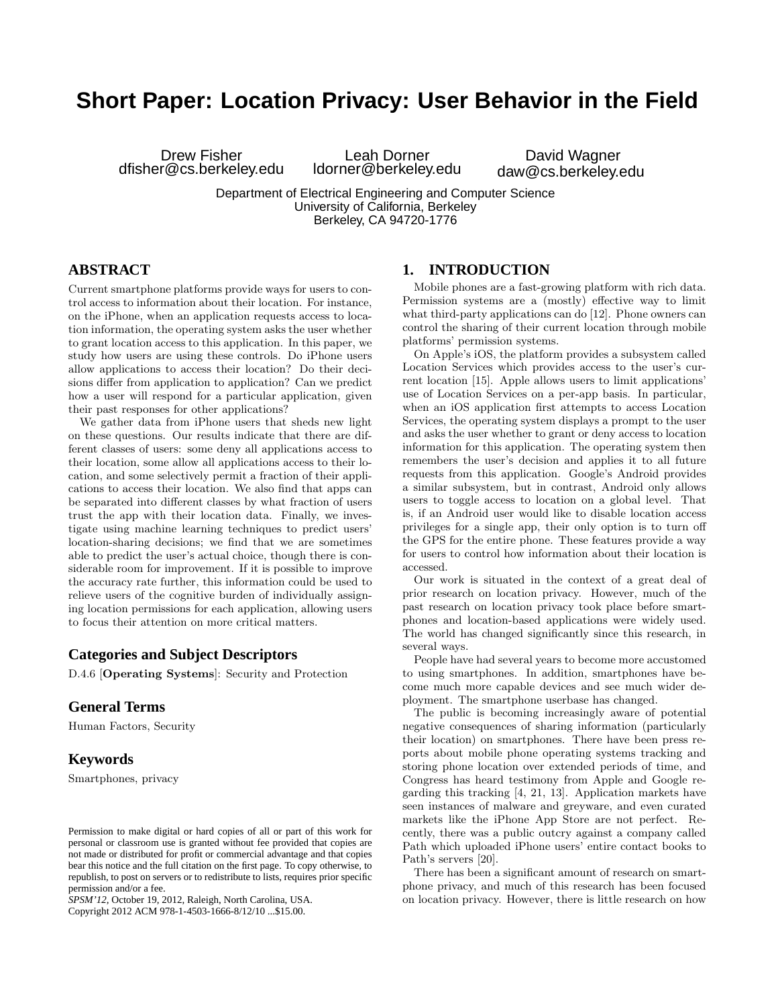# **Short Paper: Location Privacy: User Behavior in the Field**

Drew Fisher dfisher@cs.berkeley.edu

Leah Dorner ldorner@berkeley.edu

David Wagner daw@cs.berkeley.edu

Department of Electrical Engineering and Computer Science University of California, Berkeley Berkeley, CA 94720-1776

## **ABSTRACT**

Current smartphone platforms provide ways for users to control access to information about their location. For instance, on the iPhone, when an application requests access to location information, the operating system asks the user whether to grant location access to this application. In this paper, we study how users are using these controls. Do iPhone users allow applications to access their location? Do their decisions differ from application to application? Can we predict how a user will respond for a particular application, given their past responses for other applications?

We gather data from iPhone users that sheds new light on these questions. Our results indicate that there are different classes of users: some deny all applications access to their location, some allow all applications access to their location, and some selectively permit a fraction of their applications to access their location. We also find that apps can be separated into different classes by what fraction of users trust the app with their location data. Finally, we investigate using machine learning techniques to predict users' location-sharing decisions; we find that we are sometimes able to predict the user's actual choice, though there is considerable room for improvement. If it is possible to improve the accuracy rate further, this information could be used to relieve users of the cognitive burden of individually assigning location permissions for each application, allowing users to focus their attention on more critical matters.

#### **Categories and Subject Descriptors**

D.4.6 [Operating Systems]: Security and Protection

## **General Terms**

Human Factors, Security

#### **Keywords**

Smartphones, privacy

Copyright 2012 ACM 978-1-4503-1666-8/12/10 ...\$15.00.

#### **1. INTRODUCTION**

Mobile phones are a fast-growing platform with rich data. Permission systems are a (mostly) effective way to limit what third-party applications can do [12]. Phone owners can control the sharing of their current location through mobile platforms' permission systems.

On Apple's iOS, the platform provides a subsystem called Location Services which provides access to the user's current location [15]. Apple allows users to limit applications' use of Location Services on a per-app basis. In particular, when an iOS application first attempts to access Location Services, the operating system displays a prompt to the user and asks the user whether to grant or deny access to location information for this application. The operating system then remembers the user's decision and applies it to all future requests from this application. Google's Android provides a similar subsystem, but in contrast, Android only allows users to toggle access to location on a global level. That is, if an Android user would like to disable location access privileges for a single app, their only option is to turn off the GPS for the entire phone. These features provide a way for users to control how information about their location is accessed.

Our work is situated in the context of a great deal of prior research on location privacy. However, much of the past research on location privacy took place before smartphones and location-based applications were widely used. The world has changed significantly since this research, in several ways.

People have had several years to become more accustomed to using smartphones. In addition, smartphones have become much more capable devices and see much wider deployment. The smartphone userbase has changed.

The public is becoming increasingly aware of potential negative consequences of sharing information (particularly their location) on smartphones. There have been press reports about mobile phone operating systems tracking and storing phone location over extended periods of time, and Congress has heard testimony from Apple and Google regarding this tracking [4, 21, 13]. Application markets have seen instances of malware and greyware, and even curated markets like the iPhone App Store are not perfect. Recently, there was a public outcry against a company called Path which uploaded iPhone users' entire contact books to Path's servers [20].

There has been a significant amount of research on smartphone privacy, and much of this research has been focused on location privacy. However, there is little research on how

Permission to make digital or hard copies of all or part of this work for personal or classroom use is granted without fee provided that copies are not made or distributed for profit or commercial advantage and that copies bear this notice and the full citation on the first page. To copy otherwise, to republish, to post on servers or to redistribute to lists, requires prior specific permission and/or a fee.

*SPSM'12,* October 19, 2012, Raleigh, North Carolina, USA.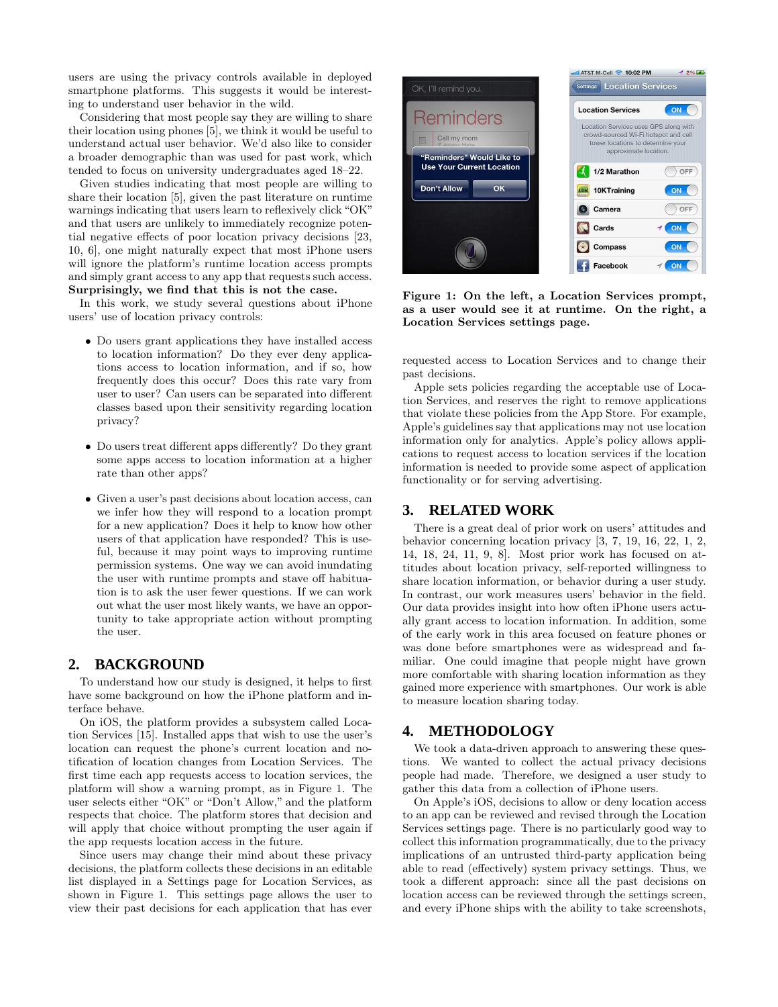users are using the privacy controls available in deployed smartphone platforms. This suggests it would be interesting to understand user behavior in the wild.

Considering that most people say they are willing to share their location using phones [5], we think it would be useful to understand actual user behavior. We'd also like to consider a broader demographic than was used for past work, which tended to focus on university undergraduates aged 18–22.

Given studies indicating that most people are willing to share their location [5], given the past literature on runtime warnings indicating that users learn to reflexively click "OK" and that users are unlikely to immediately recognize potential negative effects of poor location privacy decisions [23, 10, 6], one might naturally expect that most iPhone users will ignore the platform's runtime location access prompts and simply grant access to any app that requests such access. Surprisingly, we find that this is not the case.

In this work, we study several questions about iPhone users' use of location privacy controls:

- Do users grant applications they have installed access to location information? Do they ever deny applications access to location information, and if so, how frequently does this occur? Does this rate vary from user to user? Can users can be separated into different classes based upon their sensitivity regarding location privacy?
- Do users treat different apps differently? Do they grant some apps access to location information at a higher rate than other apps?
- Given a user's past decisions about location access, can we infer how they will respond to a location prompt for a new application? Does it help to know how other users of that application have responded? This is useful, because it may point ways to improving runtime permission systems. One way we can avoid inundating the user with runtime prompts and stave off habituation is to ask the user fewer questions. If we can work out what the user most likely wants, we have an opportunity to take appropriate action without prompting the user.

#### **2. BACKGROUND**

To understand how our study is designed, it helps to first have some background on how the iPhone platform and interface behave.

On iOS, the platform provides a subsystem called Location Services [15]. Installed apps that wish to use the user's location can request the phone's current location and notification of location changes from Location Services. The first time each app requests access to location services, the platform will show a warning prompt, as in Figure 1. The user selects either "OK" or "Don't Allow," and the platform respects that choice. The platform stores that decision and will apply that choice without prompting the user again if the app requests location access in the future.

Since users may change their mind about these privacy decisions, the platform collects these decisions in an editable list displayed in a Settings page for Location Services, as shown in Figure 1. This settings page allows the user to view their past decisions for each application that has ever



Figure 1: On the left, a Location Services prompt, as a user would see it at runtime. On the right, a Location Services settings page.

requested access to Location Services and to change their past decisions.

Apple sets policies regarding the acceptable use of Location Services, and reserves the right to remove applications that violate these policies from the App Store. For example, Apple's guidelines say that applications may not use location information only for analytics. Apple's policy allows applications to request access to location services if the location information is needed to provide some aspect of application functionality or for serving advertising.

## **3. RELATED WORK**

There is a great deal of prior work on users' attitudes and behavior concerning location privacy [3, 7, 19, 16, 22, 1, 2, 14, 18, 24, 11, 9, 8]. Most prior work has focused on attitudes about location privacy, self-reported willingness to share location information, or behavior during a user study. In contrast, our work measures users' behavior in the field. Our data provides insight into how often iPhone users actually grant access to location information. In addition, some of the early work in this area focused on feature phones or was done before smartphones were as widespread and familiar. One could imagine that people might have grown more comfortable with sharing location information as they gained more experience with smartphones. Our work is able to measure location sharing today.

## **4. METHODOLOGY**

We took a data-driven approach to answering these questions. We wanted to collect the actual privacy decisions people had made. Therefore, we designed a user study to gather this data from a collection of iPhone users.

On Apple's iOS, decisions to allow or deny location access to an app can be reviewed and revised through the Location Services settings page. There is no particularly good way to collect this information programmatically, due to the privacy implications of an untrusted third-party application being able to read (effectively) system privacy settings. Thus, we took a different approach: since all the past decisions on location access can be reviewed through the settings screen, and every iPhone ships with the ability to take screenshots,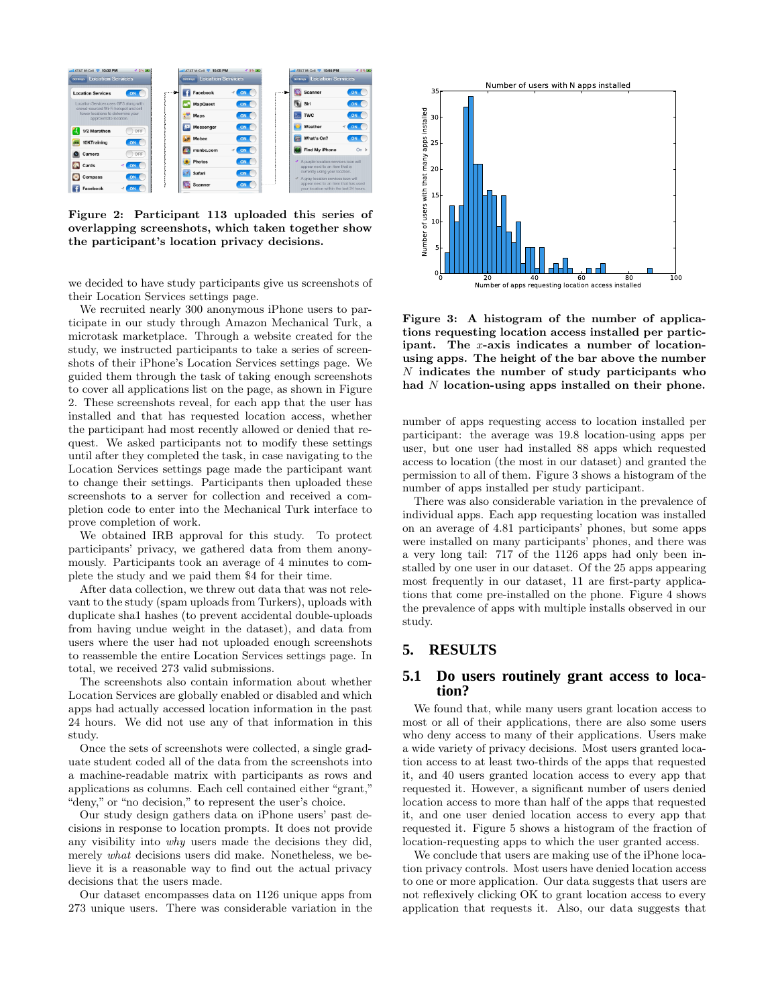

Figure 2: Participant 113 uploaded this series of overlapping screenshots, which taken together show the participant's location privacy decisions.

we decided to have study participants give us screenshots of their Location Services settings page.

We recruited nearly 300 anonymous iPhone users to participate in our study through Amazon Mechanical Turk, a microtask marketplace. Through a website created for the study, we instructed participants to take a series of screenshots of their iPhone's Location Services settings page. We guided them through the task of taking enough screenshots to cover all applications list on the page, as shown in Figure 2. These screenshots reveal, for each app that the user has installed and that has requested location access, whether the participant had most recently allowed or denied that request. We asked participants not to modify these settings until after they completed the task, in case navigating to the Location Services settings page made the participant want to change their settings. Participants then uploaded these screenshots to a server for collection and received a completion code to enter into the Mechanical Turk interface to prove completion of work.

We obtained IRB approval for this study. To protect participants' privacy, we gathered data from them anonymously. Participants took an average of 4 minutes to complete the study and we paid them \$4 for their time.

After data collection, we threw out data that was not relevant to the study (spam uploads from Turkers), uploads with duplicate sha1 hashes (to prevent accidental double-uploads from having undue weight in the dataset), and data from users where the user had not uploaded enough screenshots to reassemble the entire Location Services settings page. In total, we received 273 valid submissions.

The screenshots also contain information about whether Location Services are globally enabled or disabled and which apps had actually accessed location information in the past 24 hours. We did not use any of that information in this study.

Once the sets of screenshots were collected, a single graduate student coded all of the data from the screenshots into a machine-readable matrix with participants as rows and applications as columns. Each cell contained either "grant," "deny," or "no decision," to represent the user's choice.

Our study design gathers data on iPhone users' past decisions in response to location prompts. It does not provide any visibility into why users made the decisions they did, merely what decisions users did make. Nonetheless, we believe it is a reasonable way to find out the actual privacy decisions that the users made.

Our dataset encompasses data on 1126 unique apps from 273 unique users. There was considerable variation in the



Figure 3: A histogram of the number of applications requesting location access installed per participant. The x-axis indicates a number of locationusing apps. The height of the bar above the number  $N$  indicates the number of study participants who had N location-using apps installed on their phone.

number of apps requesting access to location installed per participant: the average was 19.8 location-using apps per user, but one user had installed 88 apps which requested access to location (the most in our dataset) and granted the permission to all of them. Figure 3 shows a histogram of the number of apps installed per study participant.

There was also considerable variation in the prevalence of individual apps. Each app requesting location was installed on an average of 4.81 participants' phones, but some apps were installed on many participants' phones, and there was a very long tail: 717 of the 1126 apps had only been installed by one user in our dataset. Of the 25 apps appearing most frequently in our dataset, 11 are first-party applications that come pre-installed on the phone. Figure 4 shows the prevalence of apps with multiple installs observed in our study.

#### **5. RESULTS**

### **5.1 Do users routinely grant access to location?**

We found that, while many users grant location access to most or all of their applications, there are also some users who deny access to many of their applications. Users make a wide variety of privacy decisions. Most users granted location access to at least two-thirds of the apps that requested it, and 40 users granted location access to every app that requested it. However, a significant number of users denied location access to more than half of the apps that requested it, and one user denied location access to every app that requested it. Figure 5 shows a histogram of the fraction of location-requesting apps to which the user granted access.

We conclude that users are making use of the iPhone location privacy controls. Most users have denied location access to one or more application. Our data suggests that users are not reflexively clicking OK to grant location access to every application that requests it. Also, our data suggests that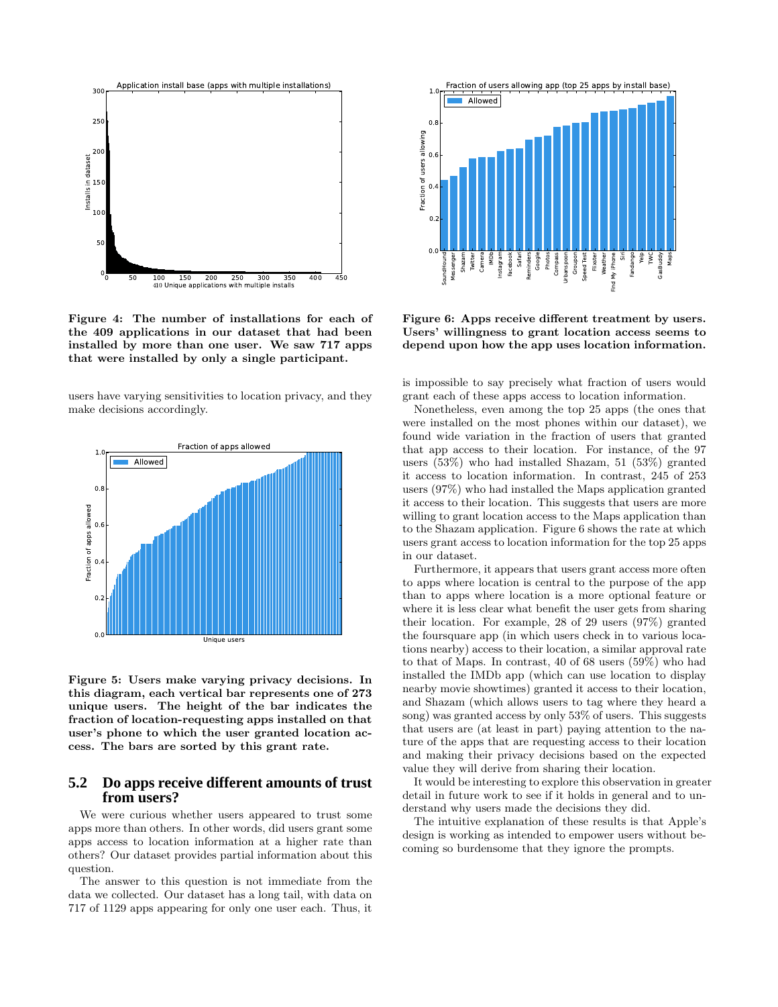

Figure 4: The number of installations for each of the 409 applications in our dataset that had been installed by more than one user. We saw 717 apps that were installed by only a single participant.

users have varying sensitivities to location privacy, and they make decisions accordingly.



Figure 5: Users make varying privacy decisions. In this diagram, each vertical bar represents one of 273 unique users. The height of the bar indicates the fraction of location-requesting apps installed on that user's phone to which the user granted location access. The bars are sorted by this grant rate.

#### **5.2 Do apps receive different amounts of trust from users?**

We were curious whether users appeared to trust some apps more than others. In other words, did users grant some apps access to location information at a higher rate than others? Our dataset provides partial information about this question.

The answer to this question is not immediate from the data we collected. Our dataset has a long tail, with data on 717 of 1129 apps appearing for only one user each. Thus, it



Figure 6: Apps receive different treatment by users. Users' willingness to grant location access seems to depend upon how the app uses location information.

is impossible to say precisely what fraction of users would grant each of these apps access to location information.

Nonetheless, even among the top 25 apps (the ones that were installed on the most phones within our dataset), we found wide variation in the fraction of users that granted that app access to their location. For instance, of the 97 users (53%) who had installed Shazam, 51 (53%) granted it access to location information. In contrast, 245 of 253 users (97%) who had installed the Maps application granted it access to their location. This suggests that users are more willing to grant location access to the Maps application than to the Shazam application. Figure 6 shows the rate at which users grant access to location information for the top 25 apps in our dataset.

Furthermore, it appears that users grant access more often to apps where location is central to the purpose of the app than to apps where location is a more optional feature or where it is less clear what benefit the user gets from sharing their location. For example, 28 of 29 users (97%) granted the foursquare app (in which users check in to various locations nearby) access to their location, a similar approval rate to that of Maps. In contrast, 40 of 68 users (59%) who had installed the IMDb app (which can use location to display nearby movie showtimes) granted it access to their location, and Shazam (which allows users to tag where they heard a song) was granted access by only 53% of users. This suggests that users are (at least in part) paying attention to the nature of the apps that are requesting access to their location and making their privacy decisions based on the expected value they will derive from sharing their location.

It would be interesting to explore this observation in greater detail in future work to see if it holds in general and to understand why users made the decisions they did.

The intuitive explanation of these results is that Apple's design is working as intended to empower users without becoming so burdensome that they ignore the prompts.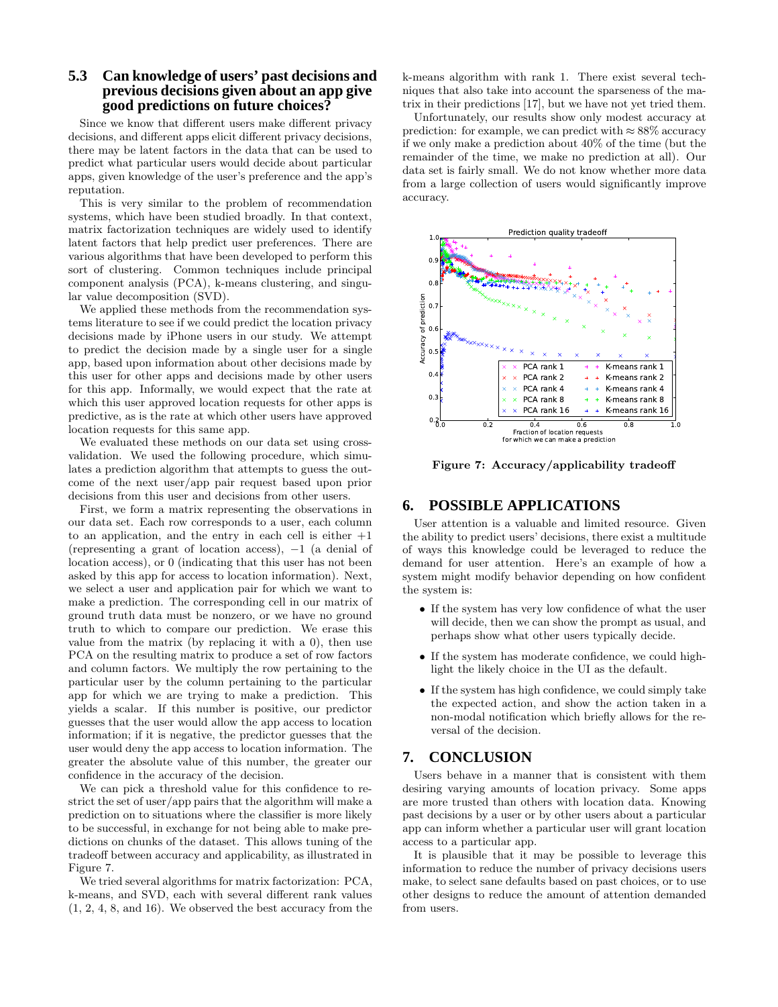### **5.3 Can knowledge of users' past decisions and previous decisions given about an app give good predictions on future choices?**

Since we know that different users make different privacy decisions, and different apps elicit different privacy decisions, there may be latent factors in the data that can be used to predict what particular users would decide about particular apps, given knowledge of the user's preference and the app's reputation.

This is very similar to the problem of recommendation systems, which have been studied broadly. In that context, matrix factorization techniques are widely used to identify latent factors that help predict user preferences. There are various algorithms that have been developed to perform this sort of clustering. Common techniques include principal component analysis (PCA), k-means clustering, and singular value decomposition (SVD).

We applied these methods from the recommendation systems literature to see if we could predict the location privacy decisions made by iPhone users in our study. We attempt to predict the decision made by a single user for a single app, based upon information about other decisions made by this user for other apps and decisions made by other users for this app. Informally, we would expect that the rate at which this user approved location requests for other apps is predictive, as is the rate at which other users have approved location requests for this same app.

We evaluated these methods on our data set using crossvalidation. We used the following procedure, which simulates a prediction algorithm that attempts to guess the outcome of the next user/app pair request based upon prior decisions from this user and decisions from other users.

First, we form a matrix representing the observations in our data set. Each row corresponds to a user, each column to an application, and the entry in each cell is either  $+1$ (representing a grant of location access),  $-1$  (a denial of location access), or 0 (indicating that this user has not been asked by this app for access to location information). Next, we select a user and application pair for which we want to make a prediction. The corresponding cell in our matrix of ground truth data must be nonzero, or we have no ground truth to which to compare our prediction. We erase this value from the matrix (by replacing it with a 0), then use PCA on the resulting matrix to produce a set of row factors and column factors. We multiply the row pertaining to the particular user by the column pertaining to the particular app for which we are trying to make a prediction. This yields a scalar. If this number is positive, our predictor guesses that the user would allow the app access to location information; if it is negative, the predictor guesses that the user would deny the app access to location information. The greater the absolute value of this number, the greater our confidence in the accuracy of the decision.

We can pick a threshold value for this confidence to restrict the set of user/app pairs that the algorithm will make a prediction on to situations where the classifier is more likely to be successful, in exchange for not being able to make predictions on chunks of the dataset. This allows tuning of the tradeoff between accuracy and applicability, as illustrated in Figure 7.

We tried several algorithms for matrix factorization: PCA, k-means, and SVD, each with several different rank values (1, 2, 4, 8, and 16). We observed the best accuracy from the k-means algorithm with rank 1. There exist several techniques that also take into account the sparseness of the matrix in their predictions [17], but we have not yet tried them.

Unfortunately, our results show only modest accuracy at prediction: for example, we can predict with  $\approx 88\%$  accuracy if we only make a prediction about 40% of the time (but the remainder of the time, we make no prediction at all). Our data set is fairly small. We do not know whether more data from a large collection of users would significantly improve accuracy.



Figure 7: Accuracy/applicability tradeoff

#### **6. POSSIBLE APPLICATIONS**

User attention is a valuable and limited resource. Given the ability to predict users' decisions, there exist a multitude of ways this knowledge could be leveraged to reduce the demand for user attention. Here's an example of how a system might modify behavior depending on how confident the system is:

- If the system has very low confidence of what the user will decide, then we can show the prompt as usual, and perhaps show what other users typically decide.
- If the system has moderate confidence, we could highlight the likely choice in the UI as the default.
- If the system has high confidence, we could simply take the expected action, and show the action taken in a non-modal notification which briefly allows for the reversal of the decision.

#### **7. CONCLUSION**

Users behave in a manner that is consistent with them desiring varying amounts of location privacy. Some apps are more trusted than others with location data. Knowing past decisions by a user or by other users about a particular app can inform whether a particular user will grant location access to a particular app.

It is plausible that it may be possible to leverage this information to reduce the number of privacy decisions users make, to select sane defaults based on past choices, or to use other designs to reduce the amount of attention demanded from users.